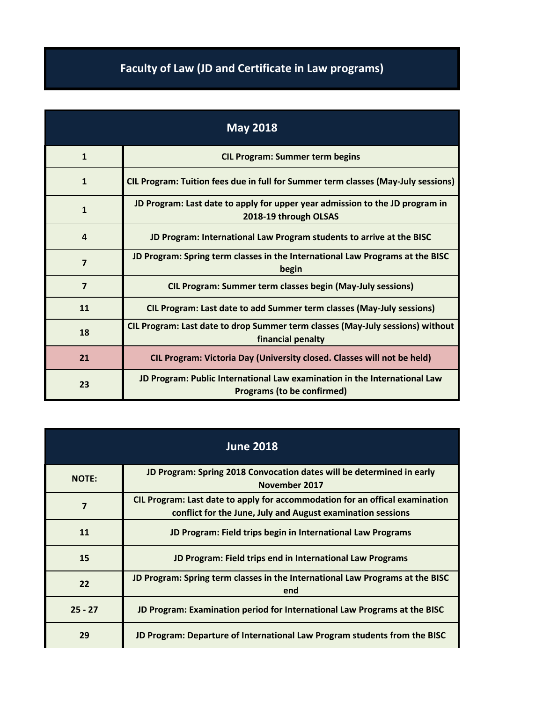## **Faculty of Law (JD and Certificate in Law programs)**

| <b>May 2018</b> |                                                                                                                |
|-----------------|----------------------------------------------------------------------------------------------------------------|
| $\mathbf{1}$    | <b>CIL Program: Summer term begins</b>                                                                         |
| $\mathbf{1}$    | CIL Program: Tuition fees due in full for Summer term classes (May-July sessions)                              |
| $\mathbf{1}$    | JD Program: Last date to apply for upper year admission to the JD program in<br>2018-19 through OLSAS          |
| $\overline{a}$  | JD Program: International Law Program students to arrive at the BISC                                           |
| $\overline{7}$  | JD Program: Spring term classes in the International Law Programs at the BISC<br>begin                         |
| $\overline{7}$  | <b>CIL Program: Summer term classes begin (May-July sessions)</b>                                              |
| 11              | CIL Program: Last date to add Summer term classes (May-July sessions)                                          |
| 18              | CIL Program: Last date to drop Summer term classes (May-July sessions) without<br>financial penalty            |
| 21              | CIL Program: Victoria Day (University closed. Classes will not be held)                                        |
| 23              | JD Program: Public International Law examination in the International Law<br><b>Programs (to be confirmed)</b> |

| <b>June 2018</b> |                                                                                                                                             |
|------------------|---------------------------------------------------------------------------------------------------------------------------------------------|
| <b>NOTE:</b>     | JD Program: Spring 2018 Convocation dates will be determined in early<br>November 2017                                                      |
| 7                | CIL Program: Last date to apply for accommodation for an offical examination<br>conflict for the June, July and August examination sessions |
| 11               | JD Program: Field trips begin in International Law Programs                                                                                 |
| 15               | JD Program: Field trips end in International Law Programs                                                                                   |
| 22               | JD Program: Spring term classes in the International Law Programs at the BISC<br>end                                                        |
| $25 - 27$        | JD Program: Examination period for International Law Programs at the BISC                                                                   |
| 29               | JD Program: Departure of International Law Program students from the BISC                                                                   |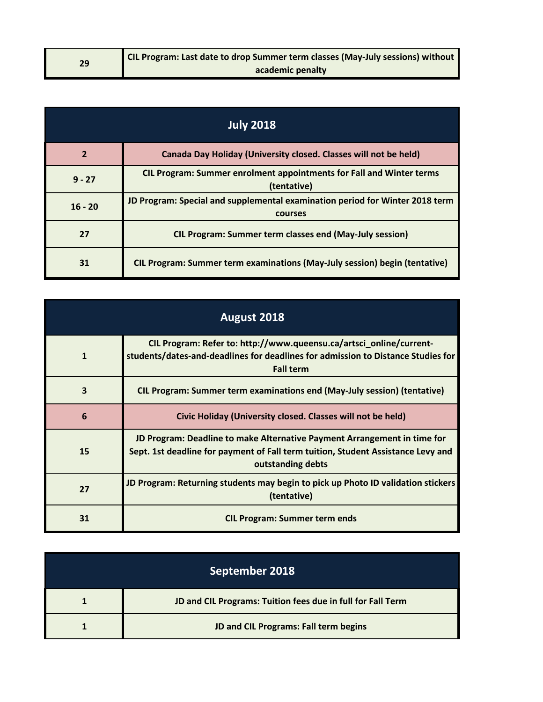| 29 | <b>CIL Program: Last date to drop Summer term classes (May-July sessions) without  </b> |
|----|-----------------------------------------------------------------------------------------|
|    | academic penalty                                                                        |

| <b>July 2018</b> |                                                                                            |
|------------------|--------------------------------------------------------------------------------------------|
| $\overline{2}$   | Canada Day Holiday (University closed. Classes will not be held)                           |
| $9 - 27$         | <b>CIL Program: Summer enrolment appointments for Fall and Winter terms</b><br>(tentative) |
| $16 - 20$        | JD Program: Special and supplemental examination period for Winter 2018 term<br>courses    |
| 27               | <b>CIL Program: Summer term classes end (May-July session)</b>                             |
| 31               | CIL Program: Summer term examinations (May-July session) begin (tentative)                 |

| August 2018  |                                                                                                                                                                                   |
|--------------|-----------------------------------------------------------------------------------------------------------------------------------------------------------------------------------|
| $\mathbf{1}$ | CIL Program: Refer to: http://www.queensu.ca/artsci_online/current-<br>students/dates-and-deadlines for deadlines for admission to Distance Studies for<br><b>Fall term</b>       |
| 3            | CIL Program: Summer term examinations end (May-July session) (tentative)                                                                                                          |
| 6            | Civic Holiday (University closed. Classes will not be held)                                                                                                                       |
| 15           | JD Program: Deadline to make Alternative Payment Arrangement in time for<br>Sept. 1st deadline for payment of Fall term tuition, Student Assistance Levy and<br>outstanding debts |
| 27           | JD Program: Returning students may begin to pick up Photo ID validation stickers<br>(tentative)                                                                                   |
| 31           | <b>CIL Program: Summer term ends</b>                                                                                                                                              |

| September 2018                                              |
|-------------------------------------------------------------|
| JD and CIL Programs: Tuition fees due in full for Fall Term |
| JD and CIL Programs: Fall term begins                       |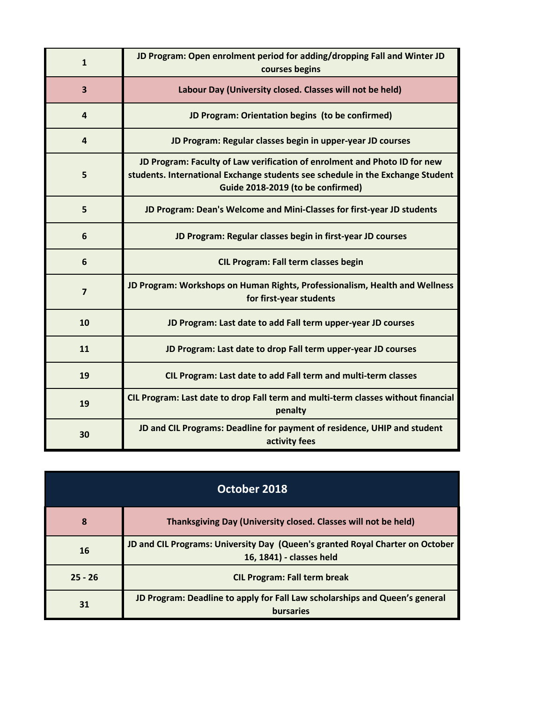| $\mathbf{1}$   | JD Program: Open enrolment period for adding/dropping Fall and Winter JD<br>courses begins                                                                                                       |
|----------------|--------------------------------------------------------------------------------------------------------------------------------------------------------------------------------------------------|
| 3              | Labour Day (University closed. Classes will not be held)                                                                                                                                         |
| $\overline{4}$ | JD Program: Orientation begins (to be confirmed)                                                                                                                                                 |
| $\overline{4}$ | JD Program: Regular classes begin in upper-year JD courses                                                                                                                                       |
| 5              | JD Program: Faculty of Law verification of enrolment and Photo ID for new<br>students. International Exchange students see schedule in the Exchange Student<br>Guide 2018-2019 (to be confirmed) |
| 5              | JD Program: Dean's Welcome and Mini-Classes for first-year JD students                                                                                                                           |
| 6              | JD Program: Regular classes begin in first-year JD courses                                                                                                                                       |
| 6              | <b>CIL Program: Fall term classes begin</b>                                                                                                                                                      |
| $\overline{7}$ | JD Program: Workshops on Human Rights, Professionalism, Health and Wellness<br>for first-year students                                                                                           |
| 10             | JD Program: Last date to add Fall term upper-year JD courses                                                                                                                                     |
| 11             | JD Program: Last date to drop Fall term upper-year JD courses                                                                                                                                    |
| 19             | CIL Program: Last date to add Fall term and multi-term classes                                                                                                                                   |
| 19             | CIL Program: Last date to drop Fall term and multi-term classes without financial<br>penalty                                                                                                     |
| 30             | JD and CIL Programs: Deadline for payment of residence, UHIP and student<br>activity fees                                                                                                        |

| October 2018 |                                                                                                           |
|--------------|-----------------------------------------------------------------------------------------------------------|
| 8            | Thanksgiving Day (University closed. Classes will not be held)                                            |
| 16           | JD and CIL Programs: University Day (Queen's granted Royal Charter on October<br>16, 1841) - classes held |
| $25 - 26$    | <b>CIL Program: Fall term break</b>                                                                       |
| 31           | JD Program: Deadline to apply for Fall Law scholarships and Queen's general<br><b>bursaries</b>           |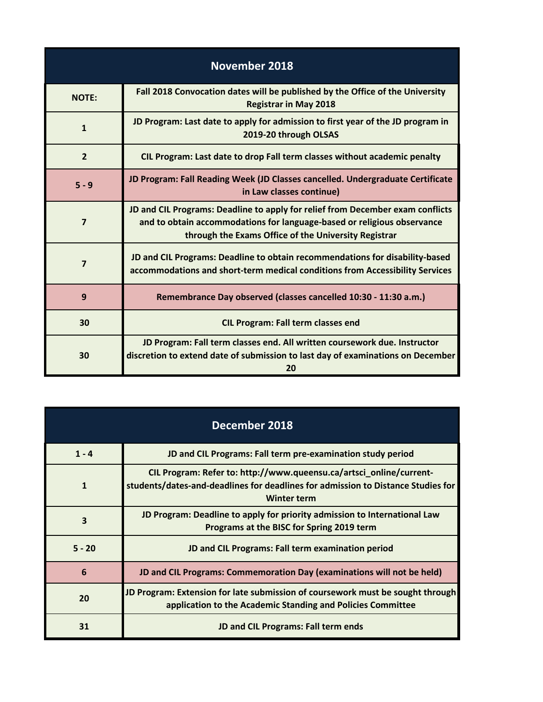| <b>November 2018</b> |                                                                                                                                                                                                                   |
|----------------------|-------------------------------------------------------------------------------------------------------------------------------------------------------------------------------------------------------------------|
| <b>NOTE:</b>         | Fall 2018 Convocation dates will be published by the Office of the University<br><b>Registrar in May 2018</b>                                                                                                     |
| $\mathbf{1}$         | JD Program: Last date to apply for admission to first year of the JD program in<br>2019-20 through OLSAS                                                                                                          |
| $\overline{2}$       | CIL Program: Last date to drop Fall term classes without academic penalty                                                                                                                                         |
| $5 - 9$              | JD Program: Fall Reading Week (JD Classes cancelled. Undergraduate Certificate<br>in Law classes continue)                                                                                                        |
| $\overline{7}$       | JD and CIL Programs: Deadline to apply for relief from December exam conflicts<br>and to obtain accommodations for language-based or religious observance<br>through the Exams Office of the University Registrar |
| 7                    | JD and CIL Programs: Deadline to obtain recommendations for disability-based<br>accommodations and short-term medical conditions from Accessibility Services                                                      |
| 9                    | Remembrance Day observed (classes cancelled 10:30 - 11:30 a.m.)                                                                                                                                                   |
| 30                   | <b>CIL Program: Fall term classes end</b>                                                                                                                                                                         |
| 30                   | JD Program: Fall term classes end. All written coursework due. Instructor<br>discretion to extend date of submission to last day of examinations on December<br>20                                                |

| December 2018 |                                                                                                                                                                               |
|---------------|-------------------------------------------------------------------------------------------------------------------------------------------------------------------------------|
| $1 - 4$       | JD and CIL Programs: Fall term pre-examination study period                                                                                                                   |
| $\mathbf{1}$  | CIL Program: Refer to: http://www.queensu.ca/artsci_online/current-<br>students/dates-and-deadlines for deadlines for admission to Distance Studies for<br><b>Winter term</b> |
| 3             | JD Program: Deadline to apply for priority admission to International Law<br>Programs at the BISC for Spring 2019 term                                                        |
| $5 - 20$      | JD and CIL Programs: Fall term examination period                                                                                                                             |
| 6             | JD and CIL Programs: Commemoration Day (examinations will not be held)                                                                                                        |
| 20            | JD Program: Extension for late submission of coursework must be sought through<br>application to the Academic Standing and Policies Committee                                 |
| 31            | JD and CIL Programs: Fall term ends                                                                                                                                           |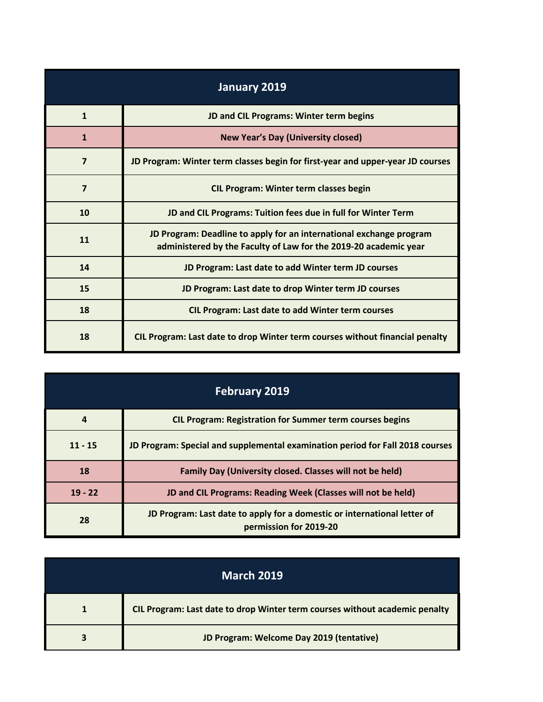| January 2019 |                                                                                                                                         |
|--------------|-----------------------------------------------------------------------------------------------------------------------------------------|
| $\mathbf{1}$ | JD and CIL Programs: Winter term begins                                                                                                 |
| $\mathbf{1}$ | <b>New Year's Day (University closed)</b>                                                                                               |
| 7            | JD Program: Winter term classes begin for first-year and upper-year JD courses                                                          |
| 7            | <b>CIL Program: Winter term classes begin</b>                                                                                           |
| 10           | JD and CIL Programs: Tuition fees due in full for Winter Term                                                                           |
| 11           | JD Program: Deadline to apply for an international exchange program<br>administered by the Faculty of Law for the 2019-20 academic year |
| 14           | JD Program: Last date to add Winter term JD courses                                                                                     |
| 15           | JD Program: Last date to drop Winter term JD courses                                                                                    |
| 18           | <b>CIL Program: Last date to add Winter term courses</b>                                                                                |
| 18           | CIL Program: Last date to drop Winter term courses without financial penalty                                                            |

| <b>February 2019</b> |                                                                                                    |
|----------------------|----------------------------------------------------------------------------------------------------|
| $\overline{a}$       | <b>CIL Program: Registration for Summer term courses begins</b>                                    |
| $11 - 15$            | JD Program: Special and supplemental examination period for Fall 2018 courses                      |
| 18                   | Family Day (University closed. Classes will not be held)                                           |
| $19 - 22$            | JD and CIL Programs: Reading Week (Classes will not be held)                                       |
| 28                   | JD Program: Last date to apply for a domestic or international letter of<br>permission for 2019-20 |

| <b>March 2019</b> |                                                                             |
|-------------------|-----------------------------------------------------------------------------|
|                   | CIL Program: Last date to drop Winter term courses without academic penalty |
|                   | JD Program: Welcome Day 2019 (tentative)                                    |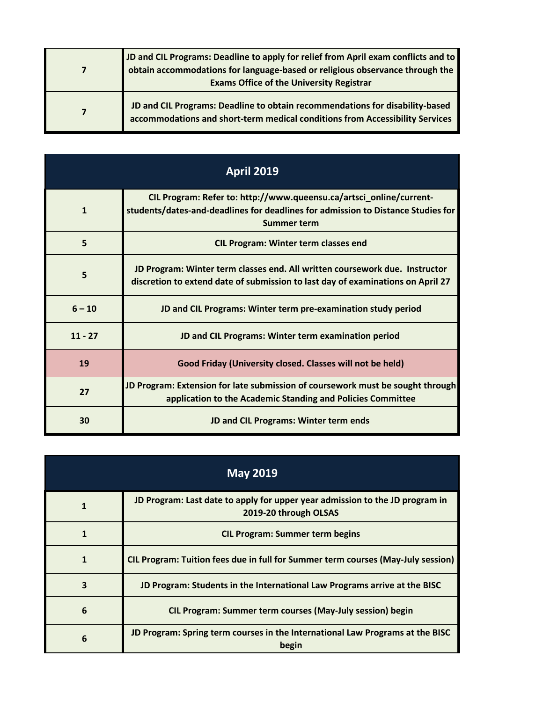| JD and CIL Programs: Deadline to apply for relief from April exam conflicts and to<br>obtain accommodations for language-based or religious observance through the<br><b>Exams Office of the University Registrar</b> |
|-----------------------------------------------------------------------------------------------------------------------------------------------------------------------------------------------------------------------|
| JD and CIL Programs: Deadline to obtain recommendations for disability-based<br>accommodations and short-term medical conditions from Accessibility Services                                                          |

| <b>April 2019</b> |                                                                                                                                                                               |
|-------------------|-------------------------------------------------------------------------------------------------------------------------------------------------------------------------------|
| $\mathbf{1}$      | CIL Program: Refer to: http://www.queensu.ca/artsci_online/current-<br>students/dates-and-deadlines for deadlines for admission to Distance Studies for<br><b>Summer term</b> |
| 5                 | <b>CIL Program: Winter term classes end</b>                                                                                                                                   |
| 5                 | JD Program: Winter term classes end. All written coursework due. Instructor<br>discretion to extend date of submission to last day of examinations on April 27                |
| $6 - 10$          | JD and CIL Programs: Winter term pre-examination study period                                                                                                                 |
| $11 - 27$         | JD and CIL Programs: Winter term examination period                                                                                                                           |
| 19                | Good Friday (University closed. Classes will not be held)                                                                                                                     |
| 27                | JD Program: Extension for late submission of coursework must be sought through<br>application to the Academic Standing and Policies Committee                                 |
| 30                | JD and CIL Programs: Winter term ends                                                                                                                                         |

| <b>May 2019</b> |                                                                                                       |
|-----------------|-------------------------------------------------------------------------------------------------------|
| 1               | JD Program: Last date to apply for upper year admission to the JD program in<br>2019-20 through OLSAS |
| 1               | <b>CIL Program: Summer term begins</b>                                                                |
| $\mathbf{1}$    | CIL Program: Tuition fees due in full for Summer term courses (May-July session)                      |
| 3               | JD Program: Students in the International Law Programs arrive at the BISC                             |
| 6               | <b>CIL Program: Summer term courses (May-July session) begin</b>                                      |
| 6               | JD Program: Spring term courses in the International Law Programs at the BISC<br>begin                |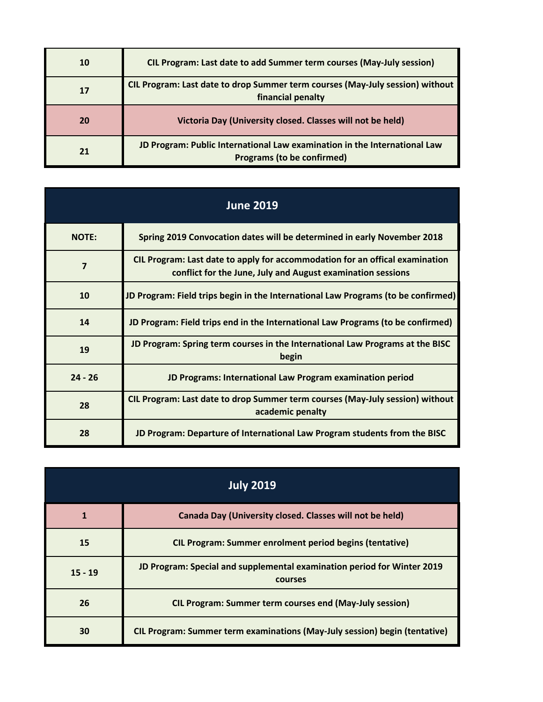| 10 | CIL Program: Last date to add Summer term courses (May-July session)                                    |
|----|---------------------------------------------------------------------------------------------------------|
| 17 | CIL Program: Last date to drop Summer term courses (May-July session) without<br>financial penalty      |
| 20 | Victoria Day (University closed. Classes will not be held)                                              |
| 21 | JD Program: Public International Law examination in the International Law<br>Programs (to be confirmed) |

| <b>June 2019</b> |                                                                                                                                             |
|------------------|---------------------------------------------------------------------------------------------------------------------------------------------|
| <b>NOTE:</b>     | Spring 2019 Convocation dates will be determined in early November 2018                                                                     |
| 7                | CIL Program: Last date to apply for accommodation for an offical examination<br>conflict for the June, July and August examination sessions |
| 10               | JD Program: Field trips begin in the International Law Programs (to be confirmed)                                                           |
| 14               | JD Program: Field trips end in the International Law Programs (to be confirmed)                                                             |
| 19               | JD Program: Spring term courses in the International Law Programs at the BISC<br>begin                                                      |
| $24 - 26$        | JD Programs: International Law Program examination period                                                                                   |
| 28               | CIL Program: Last date to drop Summer term courses (May-July session) without<br>academic penalty                                           |
| 28               | JD Program: Departure of International Law Program students from the BISC                                                                   |

| <b>July 2019</b> |                                                                                    |
|------------------|------------------------------------------------------------------------------------|
|                  | Canada Day (University closed. Classes will not be held)                           |
| 15               | <b>CIL Program: Summer enrolment period begins (tentative)</b>                     |
| $15 - 19$        | JD Program: Special and supplemental examination period for Winter 2019<br>courses |
| 26               | <b>CIL Program: Summer term courses end (May-July session)</b>                     |
| 30               | CIL Program: Summer term examinations (May-July session) begin (tentative)         |